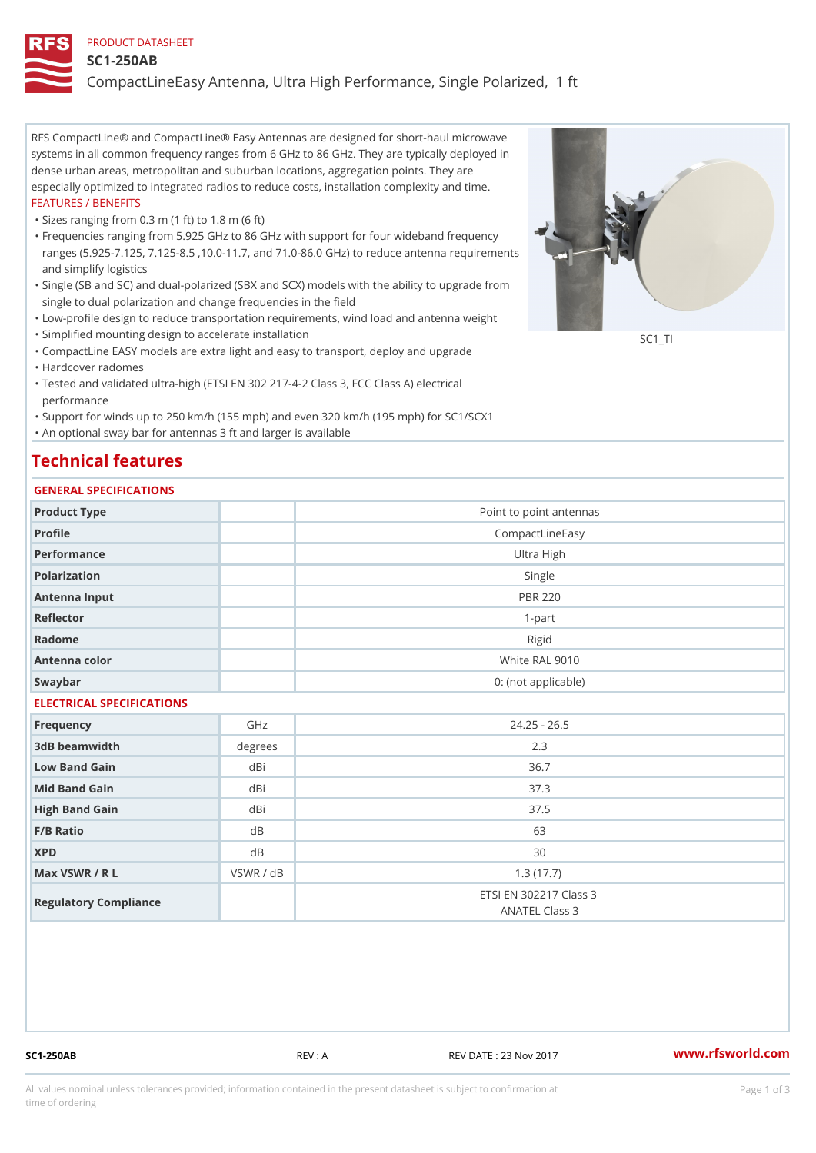#### PRODUCT DATASHEET

#### SC1-250AB

CompactLineEasy Antenna, Ultra High Performance, Single Polarized,

RFS CompactLine® and CompactLine® Easy Antennas are designed for short-haul microwave systems in all common frequency ranges from 6 GHz to 86 GHz. They are typically deployed in dense urban areas, metropolitan and suburban locations, aggregation points. They are especially optimized to integrated radios to reduce costs, installation complexity and time. FEATURES / BENEFITS

"Sizes ranging from 0.3 m (1 ft) to 1.8 m (6 ft)

- Frequencies ranging from 5.925 GHz to 86 GHz with support for four wideband frequency " ranges (5.925-7.125, 7.125-8.5 ,10.0-11.7, and 71.0-86.0 GHz) to reduce antenna requirements and simplify logistics
- Single (SB and SC) and dual-polarized (SBX and SCX) models with the ability to upgrade from " single to dual polarization and change frequencies in the field
- "Low-profile design to reduce transportation requirements, wind load and antenna weight
- "Simplified mounting design to accelerate installation

 "CompactLine EASY models are extra light and easy to transport, deploy and upgrade "Hardcover radomes

Tested and validated ultra-high (ETSI EN 302 217-4-2 Class 3, FCC Class A) electrical " performance

 "Support for winds up to 250 km/h (155 mph) and even 320 km/h (195 mph) for SC1/SCX1 "An optional sway bar for antennas 3 ft and larger is available

# Technical features

### GENERAL SPECIFICATIONS

|                           | GENERAL SELGIFICATIONS |                                          |  |  |  |  |
|---------------------------|------------------------|------------------------------------------|--|--|--|--|
| Product Type              |                        | Point to point antennas                  |  |  |  |  |
| Profile                   |                        | CompactLineEasy                          |  |  |  |  |
| Performance               |                        | Ultra High                               |  |  |  |  |
| Polarization              |                        | Single                                   |  |  |  |  |
| Antenna Input             |                        | <b>PBR 220</b>                           |  |  |  |  |
| Reflector                 |                        | $1 - p$ art                              |  |  |  |  |
| Radome                    |                        | Rigid                                    |  |  |  |  |
| Antenna color             |                        | White RAL 9010                           |  |  |  |  |
| Swaybar                   |                        | 0: (not applicable)                      |  |  |  |  |
| ELECTRICAL SPECIFICATIONS |                        |                                          |  |  |  |  |
| Frequency                 | GHz                    | $24.25 - 26.5$                           |  |  |  |  |
| 3dB beamwidth             | degree:                | 2.3                                      |  |  |  |  |
| Low Band Gain             | dBi                    | 36.7                                     |  |  |  |  |
| Mid Band Gain             | dBi                    | 37.3                                     |  |  |  |  |
| High Band Gain            | dBi                    | 37.5                                     |  |  |  |  |
| $F/B$ Ratio               | d B                    | 63                                       |  |  |  |  |
| <b>XPD</b>                | d B                    | 30                                       |  |  |  |  |
| Max VSWR / R L            | VSWR / dB              | 1.3(17.7)                                |  |  |  |  |
| Regulatory Compliance     |                        | ETSI EN 302217 Class 3<br>ANATEL Class 3 |  |  |  |  |

SC1-250AB REV : A REV DATE : 23 Nov 2017 [www.](https://www.rfsworld.com)rfsworld.com

SC<sub>1</sub>TI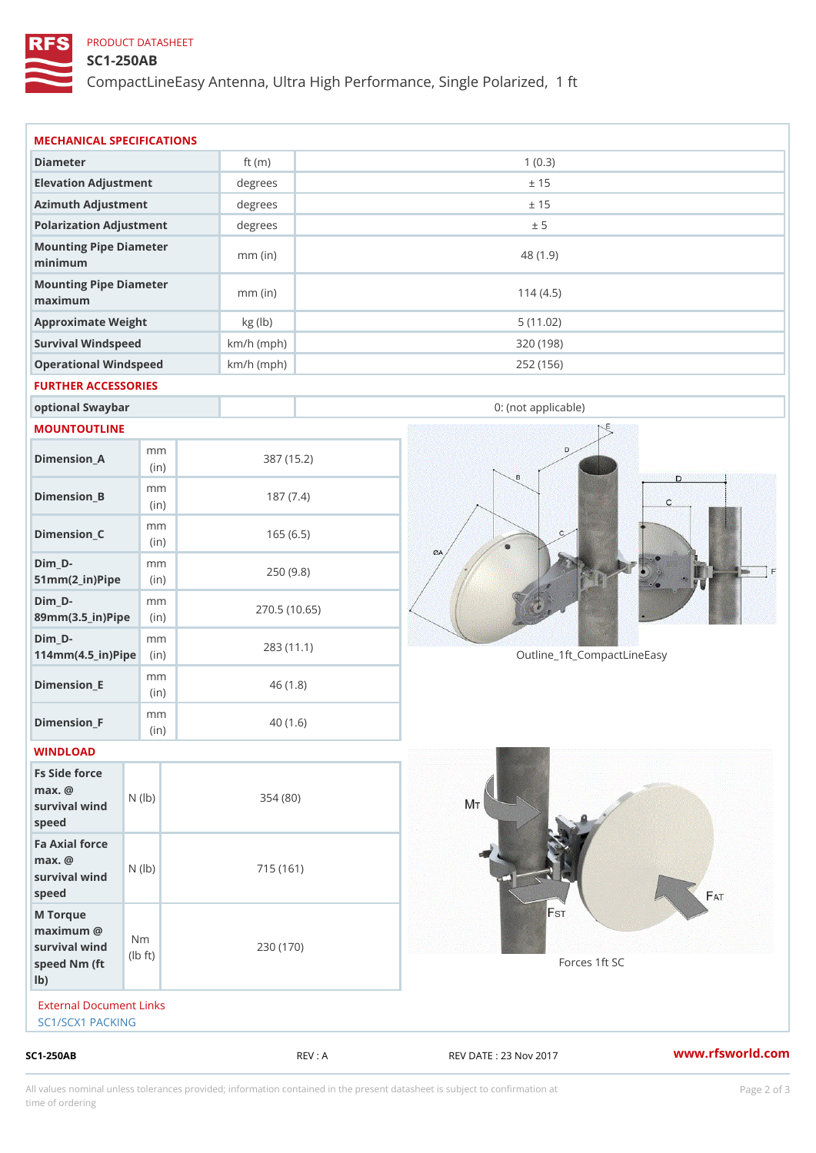## PRODUCT DATASHEET

### SC1-250AB

CompactLineEasy Antenna, Ultra High Performance, Single Polarized,

|               |                                                                                                                                                                                                                                                                                                                                                                                        | REV : A                                                                                                                                                        | REV DATE : 23 Nov 2017                                                                                                                                                   | www.rfsworld.co              |  |
|---------------|----------------------------------------------------------------------------------------------------------------------------------------------------------------------------------------------------------------------------------------------------------------------------------------------------------------------------------------------------------------------------------------|----------------------------------------------------------------------------------------------------------------------------------------------------------------|--------------------------------------------------------------------------------------------------------------------------------------------------------------------------|------------------------------|--|
|               |                                                                                                                                                                                                                                                                                                                                                                                        |                                                                                                                                                                |                                                                                                                                                                          |                              |  |
| $\dagger$ t)  |                                                                                                                                                                                                                                                                                                                                                                                        |                                                                                                                                                                | Forces 1ft SC                                                                                                                                                            |                              |  |
|               |                                                                                                                                                                                                                                                                                                                                                                                        |                                                                                                                                                                |                                                                                                                                                                          |                              |  |
|               |                                                                                                                                                                                                                                                                                                                                                                                        |                                                                                                                                                                |                                                                                                                                                                          |                              |  |
|               |                                                                                                                                                                                                                                                                                                                                                                                        |                                                                                                                                                                |                                                                                                                                                                          |                              |  |
| m m           |                                                                                                                                                                                                                                                                                                                                                                                        |                                                                                                                                                                |                                                                                                                                                                          |                              |  |
| m m<br>(in)   |                                                                                                                                                                                                                                                                                                                                                                                        |                                                                                                                                                                |                                                                                                                                                                          |                              |  |
| m m           |                                                                                                                                                                                                                                                                                                                                                                                        |                                                                                                                                                                | Outline_1ft_CompactLineEasy                                                                                                                                              |                              |  |
| m m           |                                                                                                                                                                                                                                                                                                                                                                                        |                                                                                                                                                                |                                                                                                                                                                          |                              |  |
| m m           |                                                                                                                                                                                                                                                                                                                                                                                        |                                                                                                                                                                |                                                                                                                                                                          |                              |  |
| m m<br>(in)   |                                                                                                                                                                                                                                                                                                                                                                                        |                                                                                                                                                                |                                                                                                                                                                          |                              |  |
| m m<br>(in)   |                                                                                                                                                                                                                                                                                                                                                                                        |                                                                                                                                                                |                                                                                                                                                                          |                              |  |
| m m<br>(in)   |                                                                                                                                                                                                                                                                                                                                                                                        |                                                                                                                                                                |                                                                                                                                                                          |                              |  |
|               |                                                                                                                                                                                                                                                                                                                                                                                        |                                                                                                                                                                |                                                                                                                                                                          |                              |  |
|               |                                                                                                                                                                                                                                                                                                                                                                                        |                                                                                                                                                                | 0: (not applicable)                                                                                                                                                      |                              |  |
|               |                                                                                                                                                                                                                                                                                                                                                                                        |                                                                                                                                                                |                                                                                                                                                                          |                              |  |
|               |                                                                                                                                                                                                                                                                                                                                                                                        |                                                                                                                                                                | 252 (156)                                                                                                                                                                |                              |  |
|               |                                                                                                                                                                                                                                                                                                                                                                                        |                                                                                                                                                                |                                                                                                                                                                          |                              |  |
|               | $mm$ (in)                                                                                                                                                                                                                                                                                                                                                                              |                                                                                                                                                                | 114(4.5)                                                                                                                                                                 |                              |  |
|               | $mm$ (in)                                                                                                                                                                                                                                                                                                                                                                              |                                                                                                                                                                | 48 (1.9)                                                                                                                                                                 |                              |  |
|               |                                                                                                                                                                                                                                                                                                                                                                                        |                                                                                                                                                                |                                                                                                                                                                          |                              |  |
|               |                                                                                                                                                                                                                                                                                                                                                                                        |                                                                                                                                                                | ± 15                                                                                                                                                                     |                              |  |
|               | degrees                                                                                                                                                                                                                                                                                                                                                                                |                                                                                                                                                                | ± 15                                                                                                                                                                     |                              |  |
|               |                                                                                                                                                                                                                                                                                                                                                                                        | 1(0.3)<br>ft $(m)$                                                                                                                                             |                                                                                                                                                                          |                              |  |
| Fs Side force | Elevation Adjustment<br>Azimuth Adjustment<br>Approximate Weight<br>Survival Windspeed<br>Operational Windspeed<br>optional Swaybar<br>MOUNTOUTLINE<br>$51mm(2_in)Pip@in$<br>89mm (3.5_in) Pi(pine)<br>$114$ m m (4.5_ir) $\sqrt{$ imp $\approx$<br>$\vert$ (in)<br>survival $w \nmid N$ ( $ b$ )<br>Fa Axial force<br>survival wind (1b)<br>N <sub>m</sub><br>I b<br>SC1/SCX1 PACKING | degrees<br>Polarization Adjustment<br>degrees<br>Mounting Pipe Diameter<br>Mounting Pipe Diameter<br>kg (lb)<br>FURTHER ACCESSORIES<br>External Document Links | $km/h$ (mph)<br>$km/h$ (mph)<br>387 (15.2)<br>187(7.4)<br>165(6.5)<br>250(9.8)<br>270.5(10.65)<br>283 (11.1)<br>46(1.8)<br>40(1.6)<br>354 (80)<br>715 (161)<br>230 (170) | ± 5<br>5(11.02)<br>320 (198) |  |

All values nominal unless tolerances provided; information contained in the present datasheet is subject to Pcapgelio an atio time of ordering